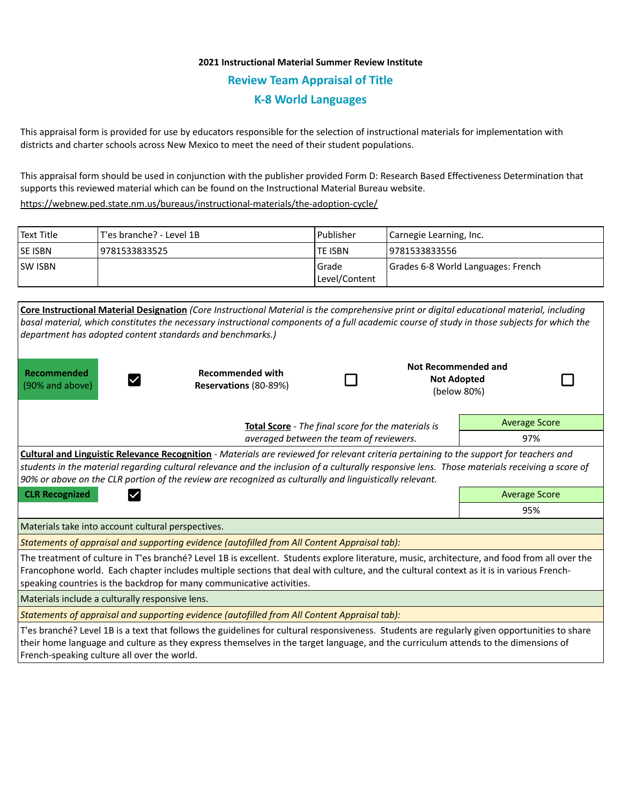## **2021 Instructional Material Summer Review Institute Review Team Appraisal of Title K-8 World Languages**

This appraisal form is provided for use by educators responsible for the selection of instructional materials for implementation with districts and charter schools across New Mexico to meet the need of their student populations.

This appraisal form should be used in conjunction with the publisher provided Form D: Research Based Effectiveness Determination that supports this reviewed material which can be found on the Instructional Material Bureau website.

<https://webnew.ped.state.nm.us/bureaus/instructional-materials/the-adoption-cycle/>

| Text Title     | T'es branche? - Level 1B | l Publisher              | Carnegie Learning, Inc.            |  |
|----------------|--------------------------|--------------------------|------------------------------------|--|
| <b>SE ISBN</b> | 9781533833525            | lte ISBN                 | 9781533833556                      |  |
| <b>SW ISBN</b> |                          | l Grade<br>Level/Content | Grades 6-8 World Languages: French |  |

| Core Instructional Material Designation (Core Instructional Material is the comprehensive print or digital educational material, including<br>basal material, which constitutes the necessary instructional components of a full academic course of study in those subjects for which the<br>department has adopted content standards and benchmarks.)                                                                      |                                                                                              |  |                                                          |                      |  |  |  |  |
|-----------------------------------------------------------------------------------------------------------------------------------------------------------------------------------------------------------------------------------------------------------------------------------------------------------------------------------------------------------------------------------------------------------------------------|----------------------------------------------------------------------------------------------|--|----------------------------------------------------------|----------------------|--|--|--|--|
| Recommended<br>(90% and above)                                                                                                                                                                                                                                                                                                                                                                                              | <b>Recommended with</b><br>Reservations (80-89%)                                             |  | Not Recommended and<br><b>Not Adopted</b><br>(below 80%) |                      |  |  |  |  |
| Total Score - The final score for the materials is                                                                                                                                                                                                                                                                                                                                                                          |                                                                                              |  |                                                          | <b>Average Score</b> |  |  |  |  |
|                                                                                                                                                                                                                                                                                                                                                                                                                             | averaged between the team of reviewers.                                                      |  |                                                          | 97%                  |  |  |  |  |
| Cultural and Linguistic Relevance Recognition - Materials are reviewed for relevant criteria pertaining to the support for teachers and<br>students in the material regarding cultural relevance and the inclusion of a culturally responsive lens. Those materials receiving a score of<br>90% or above on the CLR portion of the review are recognized as culturally and linguistically relevant.<br><b>Average Score</b> |                                                                                              |  |                                                          |                      |  |  |  |  |
| <b>CLR Recognized</b>                                                                                                                                                                                                                                                                                                                                                                                                       |                                                                                              |  |                                                          | 95%                  |  |  |  |  |
|                                                                                                                                                                                                                                                                                                                                                                                                                             |                                                                                              |  |                                                          |                      |  |  |  |  |
| Materials take into account cultural perspectives.                                                                                                                                                                                                                                                                                                                                                                          |                                                                                              |  |                                                          |                      |  |  |  |  |
|                                                                                                                                                                                                                                                                                                                                                                                                                             | Statements of appraisal and supporting evidence (autofilled from All Content Appraisal tab): |  |                                                          |                      |  |  |  |  |
| The treatment of culture in T'es branché? Level 1B is excellent. Students explore literature, music, architecture, and food from all over the<br>Francophone world. Each chapter includes multiple sections that deal with culture, and the cultural context as it is in various French-<br>speaking countries is the backdrop for many communicative activities.                                                           |                                                                                              |  |                                                          |                      |  |  |  |  |
| Materials include a culturally responsive lens.                                                                                                                                                                                                                                                                                                                                                                             |                                                                                              |  |                                                          |                      |  |  |  |  |
| Statements of appraisal and supporting evidence (autofilled from All Content Appraisal tab):                                                                                                                                                                                                                                                                                                                                |                                                                                              |  |                                                          |                      |  |  |  |  |
| T'es branché? Level 1B is a text that follows the guidelines for cultural responsiveness. Students are regularly given opportunities to share<br>their home language and culture as they express themselves in the target language, and the curriculum attends to the dimensions of<br>French-speaking culture all over the world.                                                                                          |                                                                                              |  |                                                          |                      |  |  |  |  |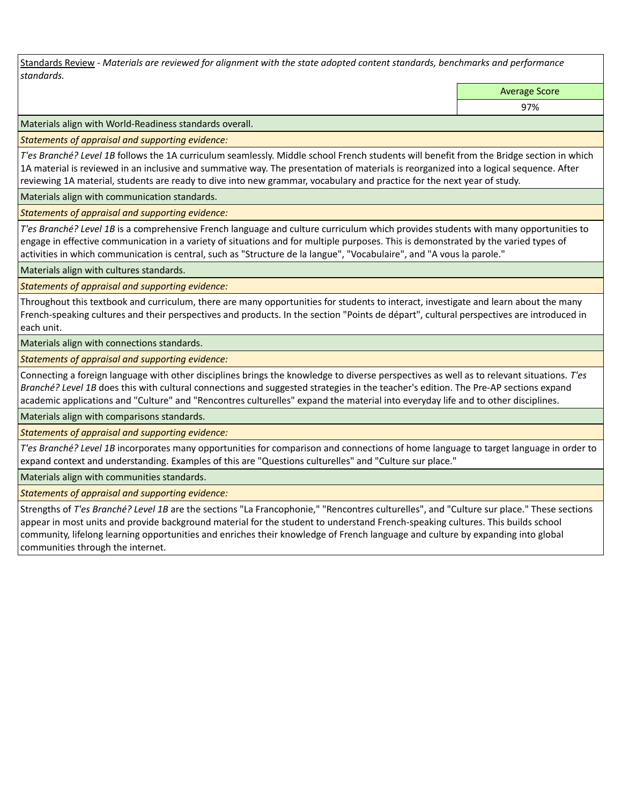Standards Review *- Materials are reviewed for alignment with the state adopted content standards, benchmarks and performance standards.*

Average Score

97%

Materials align with World-Readiness standards overall.

*Statements of appraisal and supporting evidence:* 

*T'es Branché? Level 1B* follows the 1A curriculum seamlessly. Middle school French students will benefit from the Bridge section in which 1A material is reviewed in an inclusive and summative way. The presentation of materials is reorganized into a logical sequence. After reviewing 1A material, students are ready to dive into new grammar, vocabulary and practice for the next year of study.

Materials align with communication standards.

*Statements of appraisal and supporting evidence:* 

*T'es Branché? Level 1B* is a comprehensive French language and culture curriculum which provides students with many opportunities to engage in effective communication in a variety of situations and for multiple purposes. This is demonstrated by the varied types of activities in which communication is central, such as "Structure de la langue", "Vocabulaire", and "A vous la parole."

Materials align with cultures standards.

*Statements of appraisal and supporting evidence:* 

Throughout this textbook and curriculum, there are many opportunities for students to interact, investigate and learn about the many French-speaking cultures and their perspectives and products. In the section "Points de départ", cultural perspectives are introduced in each unit.

Materials align with connections standards.

*Statements of appraisal and supporting evidence:* 

Connecting a foreign language with other disciplines brings the knowledge to diverse perspectives as well as to relevant situations. *T'es Branché? Level 1B* does this with cultural connections and suggested strategies in the teacher's edition. The Pre-AP sections expand academic applications and "Culture" and "Rencontres culturelles" expand the material into everyday life and to other disciplines.

Materials align with comparisons standards.

*Statements of appraisal and supporting evidence:* 

*T'es Branché? Level 1B* incorporates many opportunities for comparison and connections of home language to target language in order to expand context and understanding. Examples of this are "Questions culturelles" and "Culture sur place."

Materials align with communities standards.

*Statements of appraisal and supporting evidence:* 

Strengths of *T'es Branché? Level 1B* are the sections "La Francophonie," "Rencontres culturelles", and "Culture sur place." These sections appear in most units and provide background material for the student to understand French-speaking cultures. This builds school community, lifelong learning opportunities and enriches their knowledge of French language and culture by expanding into global communities through the internet.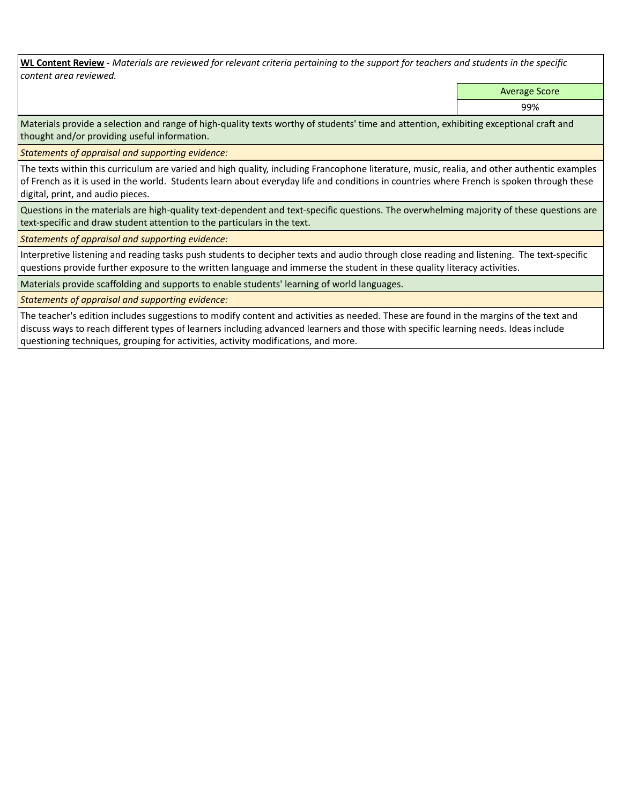**WL Content Review** *- Materials are reviewed for relevant criteria pertaining to the support for teachers and students in the specific content area reviewed.*

Average Score

99%

Materials provide a selection and range of high-quality texts worthy of students' time and attention, exhibiting exceptional craft and thought and/or providing useful information.

*Statements of appraisal and supporting evidence:* 

The texts within this curriculum are varied and high quality, including Francophone literature, music, realia, and other authentic examples of French as it is used in the world. Students learn about everyday life and conditions in countries where French is spoken through these digital, print, and audio pieces.

Questions in the materials are high-quality text-dependent and text-specific questions. The overwhelming majority of these questions are text-specific and draw student attention to the particulars in the text.

*Statements of appraisal and supporting evidence:* 

Interpretive listening and reading tasks push students to decipher texts and audio through close reading and listening. The text-specific questions provide further exposure to the written language and immerse the student in these quality literacy activities.

Materials provide scaffolding and supports to enable students' learning of world languages.

*Statements of appraisal and supporting evidence:* 

The teacher's edition includes suggestions to modify content and activities as needed. These are found in the margins of the text and discuss ways to reach different types of learners including advanced learners and those with specific learning needs. Ideas include questioning techniques, grouping for activities, activity modifications, and more.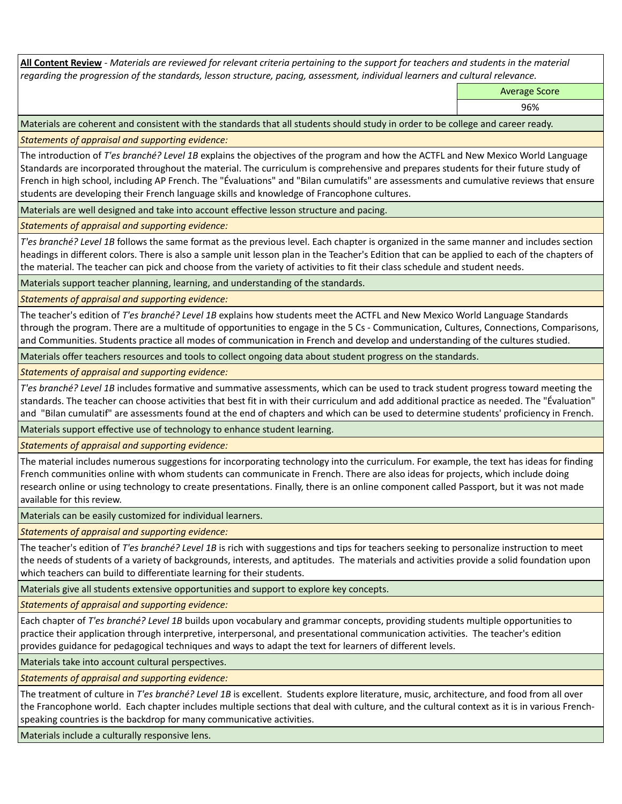**All Content Review** *- Materials are reviewed for relevant criteria pertaining to the support for teachers and students in the material regarding the progression of the standards, lesson structure, pacing, assessment, individual learners and cultural relevance.*

Average Score

96%

Materials are coherent and consistent with the standards that all students should study in order to be college and career ready.

*Statements of appraisal and supporting evidence:*

The introduction of *T'es branché? Level 1B* explains the objectives of the program and how the ACTFL and New Mexico World Language Standards are incorporated throughout the material. The curriculum is comprehensive and prepares students for their future study of French in high school, including AP French. The "Évaluations" and "Bilan cumulatifs" are assessments and cumulative reviews that ensure students are developing their French language skills and knowledge of Francophone cultures.

Materials are well designed and take into account effective lesson structure and pacing.

*Statements of appraisal and supporting evidence:*

*T'es branché? Level 1B* follows the same format as the previous level. Each chapter is organized in the same manner and includes section headings in different colors. There is also a sample unit lesson plan in the Teacher's Edition that can be applied to each of the chapters of the material. The teacher can pick and choose from the variety of activities to fit their class schedule and student needs.

Materials support teacher planning, learning, and understanding of the standards.

*Statements of appraisal and supporting evidence:*

The teacher's edition of *T'es branché? Level 1B* explains how students meet the ACTFL and New Mexico World Language Standards through the program. There are a multitude of opportunities to engage in the 5 Cs - Communication, Cultures, Connections, Comparisons, and Communities. Students practice all modes of communication in French and develop and understanding of the cultures studied.

Materials offer teachers resources and tools to collect ongoing data about student progress on the standards.

*Statements of appraisal and supporting evidence:*

*T'es branché? Level 1B* includes formative and summative assessments, which can be used to track student progress toward meeting the standards. The teacher can choose activities that best fit in with their curriculum and add additional practice as needed. The "Évaluation" and "Bilan cumulatif" are assessments found at the end of chapters and which can be used to determine students' proficiency in French.

Materials support effective use of technology to enhance student learning.

*Statements of appraisal and supporting evidence:*

The material includes numerous suggestions for incorporating technology into the curriculum. For example, the text has ideas for finding French communities online with whom students can communicate in French. There are also ideas for projects, which include doing research online or using technology to create presentations. Finally, there is an online component called Passport, but it was not made available for this review.

Materials can be easily customized for individual learners.

*Statements of appraisal and supporting evidence:* 

The teacher's edition of *T'es branché? Level 1B* is rich with suggestions and tips for teachers seeking to personalize instruction to meet the needs of students of a variety of backgrounds, interests, and aptitudes. The materials and activities provide a solid foundation upon which teachers can build to differentiate learning for their students.

Materials give all students extensive opportunities and support to explore key concepts.

*Statements of appraisal and supporting evidence:*

Each chapter of *T'es branché? Level 1B* builds upon vocabulary and grammar concepts, providing students multiple opportunities to practice their application through interpretive, interpersonal, and presentational communication activities. The teacher's edition provides guidance for pedagogical techniques and ways to adapt the text for learners of different levels.

Materials take into account cultural perspectives.

*Statements of appraisal and supporting evidence:*

The treatment of culture in *T'es branché? Level 1B* is excellent. Students explore literature, music, architecture, and food from all over the Francophone world. Each chapter includes multiple sections that deal with culture, and the cultural context as it is in various Frenchspeaking countries is the backdrop for many communicative activities.

Materials include a culturally responsive lens.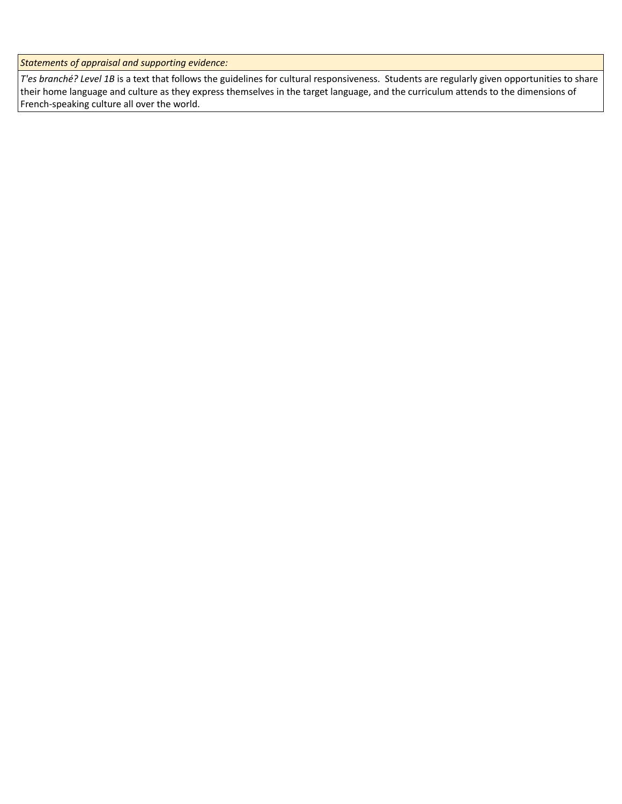*Statements of appraisal and supporting evidence:*

*T'es branché? Level 1B* is a text that follows the guidelines for cultural responsiveness. Students are regularly given opportunities to share their home language and culture as they express themselves in the target language, and the curriculum attends to the dimensions of French-speaking culture all over the world.